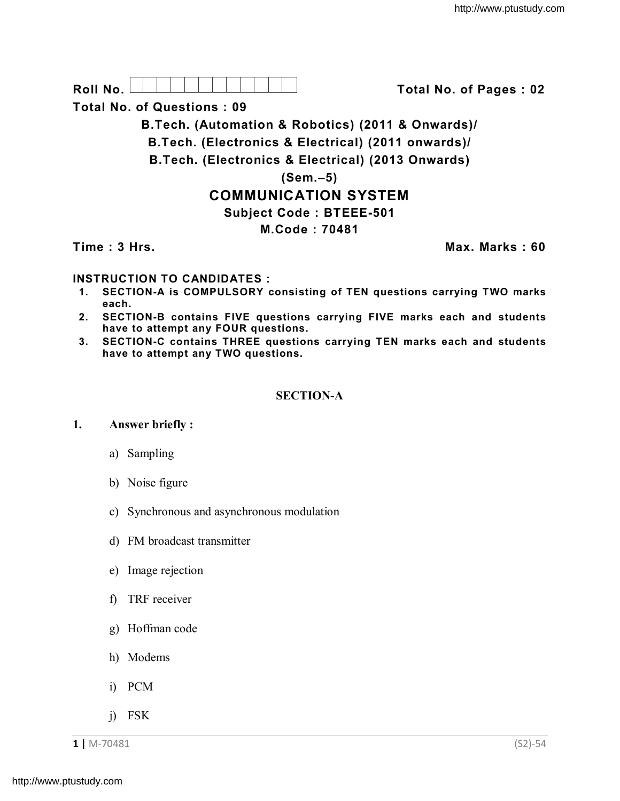

**Total No. of Questions : 09**

**B.Tech. (Automation & Robotics) (2011 & Onwards)/**

**B.Tech. (Electronics & Electrical) (2011 onwards)/**

**B.Tech. (Electronics & Electrical) (2013 Onwards)**

**(Sem.–5)**

# **COMMUNICATION SYSTEM**

## **Subject Code : BTEEE-501**

**M.Code : 70481**

**Time : 3 Hrs. Max. Marks : 60**

## **INSTRUCTION TO CANDIDATES :**

- **1. SECTION-A is COMPULSORY consisting of TEN questions carrying TWO marks each.**
- **2. SECTION-B contains FIVE questions carrying FIVE marks each and students have to attempt any FOUR questions.**
- **3. SECTION-C contains THREE questions carrying TEN marks each and students have to attempt any TWO questions.**

## **SECTION-A**

#### **1. Answer briefly :**

- a) Sampling
- b) Noise figure
- c) Synchronous and asynchronous modulation
- d) FM broadcast transmitter
- e) Image rejection
- f) TRF receiver
- g) Hoffman code
- h) Modems
- i) PCM
- j) FSK

**1 |** M-70481 (S2)-54